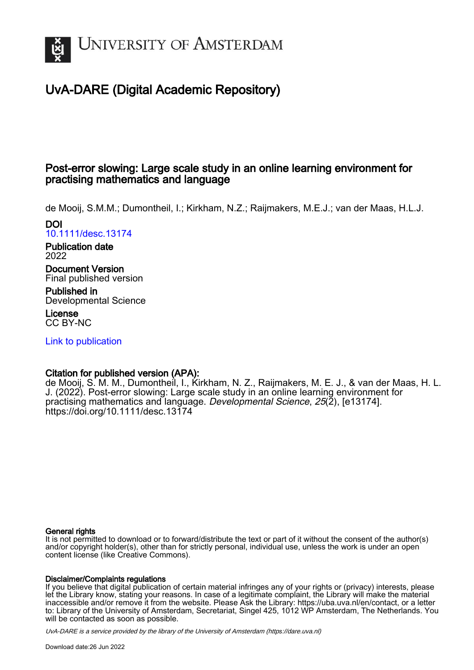

# UvA-DARE (Digital Academic Repository)

# Post-error slowing: Large scale study in an online learning environment for practising mathematics and language

de Mooij, S.M.M.; Dumontheil, I.; Kirkham, N.Z.; Raijmakers, M.E.J.; van der Maas, H.L.J.

DOI [10.1111/desc.13174](https://doi.org/10.1111/desc.13174)

Publication date 2022

Document Version Final published version

Published in Developmental Science

License CC BY-NC

[Link to publication](https://dare.uva.nl/personal/pure/en/publications/posterror-slowing-large-scale-study-in-an-online-learning-environment-for-practising-mathematics-and-language(5068d237-f077-40cf-9315-a5f49b297571).html)

# Citation for published version (APA):

de Mooij, S. M. M., Dumontheil, I., Kirkham, N. Z., Raijmakers, M. E. J., & van der Maas, H. L. J. (2022). Post-error slowing: Large scale study in an online learning environment for practising mathematics and language. Developmental Science, 25(2), [e13174]. <https://doi.org/10.1111/desc.13174>

# General rights

It is not permitted to download or to forward/distribute the text or part of it without the consent of the author(s) and/or copyright holder(s), other than for strictly personal, individual use, unless the work is under an open content license (like Creative Commons).

# Disclaimer/Complaints regulations

If you believe that digital publication of certain material infringes any of your rights or (privacy) interests, please let the Library know, stating your reasons. In case of a legitimate complaint, the Library will make the material inaccessible and/or remove it from the website. Please Ask the Library: https://uba.uva.nl/en/contact, or a letter to: Library of the University of Amsterdam, Secretariat, Singel 425, 1012 WP Amsterdam, The Netherlands. You will be contacted as soon as possible.

UvA-DARE is a service provided by the library of the University of Amsterdam (http*s*://dare.uva.nl)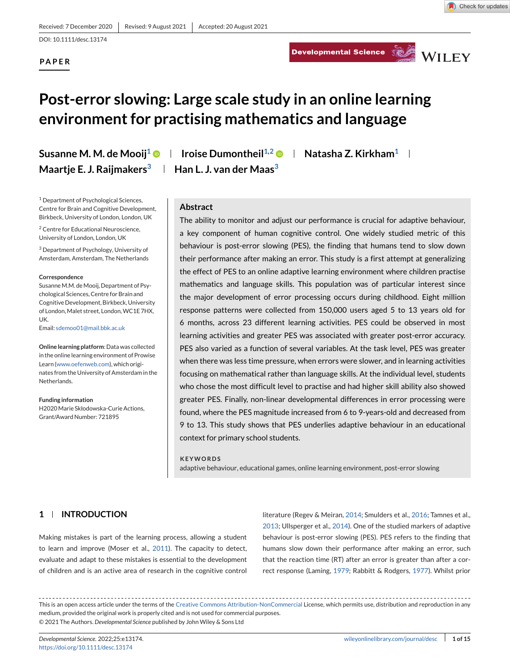Developmental Science Service WILEY

**PAPER**

# **Post-error slowing: Large scale study in an online learning environment for practising mathematics and language**

**Susanne M. M. de Mooij<sup>1</sup>**  $\bullet$  **| Iroise Dumontheil<sup>1,2</sup>**  $\bullet$  **| Natasha Z. Kirkham<sup>1</sup> | Maartje E. J. Raijmakers3 Han L. J. van der Maas3**

<sup>1</sup> Department of Psychological Sciences, Centre for Brain and Cognitive Development, Birkbeck, University of London, London, UK

<sup>2</sup> Centre for Educational Neuroscience, University of London, London, UK

<sup>3</sup> Department of Psychology, University of Amsterdam, Amsterdam, The Netherlands

#### **Correspondence**

Susanne M.M. de Mooij, Department of Psychological Sciences, Centre for Brain and Cognitive Development, Birkbeck, University of London, Malet street, London, WC1E 7HX, UK.

Email: [sdemoo01@mail.bbk.ac.uk](mailto:sdemoo01@mail.bbk.ac.uk)

**Online learning platform**: Data was collected in the online learning environment of Prowise Learn [\(www.oefenweb.com\)](http://www.oefenweb.com), which originates from the University of Amsterdam in the Netherlands.

**Funding information** H2020Marie Skłodowska-Curie Actions, Grant/Award Number: 721895

# **Abstract**

The ability to monitor and adjust our performance is crucial for adaptive behaviour, a key component of human cognitive control. One widely studied metric of this behaviour is post-error slowing (PES), the finding that humans tend to slow down their performance after making an error. This study is a first attempt at generalizing the effect of PES to an online adaptive learning environment where children practise mathematics and language skills. This population was of particular interest since the major development of error processing occurs during childhood. Eight million response patterns were collected from 150,000 users aged 5 to 13 years old for 6 months, across 23 different learning activities. PES could be observed in most learning activities and greater PES was associated with greater post-error accuracy. PES also varied as a function of several variables. At the task level, PES was greater when there was less time pressure, when errors were slower, and in learning activities focusing on mathematical rather than language skills. At the individual level, students who chose the most difficult level to practise and had higher skill ability also showed greater PES. Finally, non-linear developmental differences in error processing were found, where the PES magnitude increased from 6 to 9-years-old and decreased from 9 to 13. This study shows that PES underlies adaptive behaviour in an educational context for primary school students.

#### **KEYWORDS**

adaptive behaviour, educational games, online learning environment, post-error slowing

# **1 INTRODUCTION**

Making mistakes is part of the learning process, allowing a student to learn and improve (Moser et al., [2011\)](#page-11-0). The capacity to detect, evaluate and adapt to these mistakes is essential to the development of children and is an active area of research in the cognitive control

literature (Regev & Meiran, [2014;](#page-11-0) Smulders et al., [2016;](#page-11-0) Tamnes et al., [2013;](#page-11-0) Ullsperger et al., [2014\)](#page-11-0). One of the studied markers of adaptive behaviour is post-error slowing (PES). PES refers to the finding that humans slow down their performance after making an error, such that the reaction time (RT) after an error is greater than after a correct response (Laming, [1979;](#page-11-0) Rabbitt & Rodgers, [1977\)](#page-11-0). Whilst prior

This is an open access article under the terms of the [Creative Commons Attribution-NonCommercial](http://creativecommons.org/licenses/by-nc/4.0/) License, which permits use, distribution and reproduction in any medium, provided the original work is properly cited and is not used for commercial purposes. © 2021 The Authors. *Developmental Science* published by John Wiley & Sons Ltd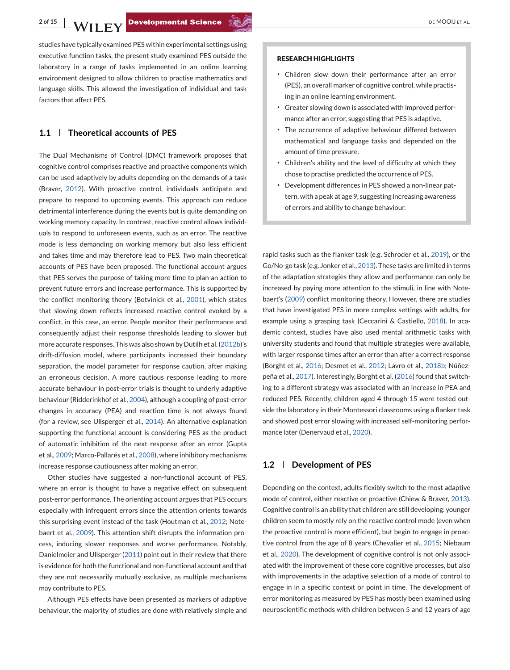studies have typically examined PES within experimental settings using executive function tasks, the present study examined PES outside the laboratory in a range of tasks implemented in an online learning environment designed to allow children to practise mathematics and language skills. This allowed the investigation of individual and task factors that affect PES.

# **1.1 Theoretical accounts of PES**

The Dual Mechanisms of Control (DMC) framework proposes that cognitive control comprises reactive and proactive components which can be used adaptively by adults depending on the demands of a task (Braver, [2012\)](#page-10-0). With proactive control, individuals anticipate and prepare to respond to upcoming events. This approach can reduce detrimental interference during the events but is quite demanding on working memory capacity. In contrast, reactive control allows individuals to respond to unforeseen events, such as an error. The reactive mode is less demanding on working memory but also less efficient and takes time and may therefore lead to PES. Two main theoretical accounts of PES have been proposed. The functional account argues that PES serves the purpose of taking more time to plan an action to prevent future errors and increase performance. This is supported by the conflict monitoring theory (Botvinick et al., [2001\)](#page-10-0), which states that slowing down reflects increased reactive control evoked by a conflict, in this case, an error. People monitor their performance and consequently adjust their response thresholds leading to slower but more accurate responses. This was also shown by Dutilh et al. [\(2012b\)](#page-10-0)'s drift-diffusion model, where participants increased their boundary separation, the model parameter for response caution, after making an erroneous decision. A more cautious response leading to more accurate behaviour in post-error trials is thought to underly adaptive behaviour (Ridderinkhof et al., [2004\)](#page-11-0), although a coupling of post-error changes in accuracy (PEA) and reaction time is not always found (for a review, see Ullsperger et al., [2014\)](#page-11-0). An alternative explanation supporting the functional account is considering PES as the product of automatic inhibition of the next response after an error (Gupta et al., [2009;](#page-10-0) Marco-Pallarés et al., [2008\)](#page-11-0), where inhibitory mechanisms increase response cautiousness after making an error.

Other studies have suggested a non-functional account of PES, where an error is thought to have a negative effect on subsequent post-error performance. The orienting account argues that PES occurs especially with infrequent errors since the attention orients towards this surprising event instead of the task (Houtman et al., [2012;](#page-10-0) Notebaert et al., [2009\)](#page-11-0). This attention shift disrupts the information process, inducing slower responses and worse performance. Notably, Danielmeier and Ullsperger [\(2011\)](#page-10-0) point out in their review that there is evidence for both the functional and non-functional account and that they are not necessarily mutually exclusive, as multiple mechanisms may contribute to PES.

Although PES effects have been presented as markers of adaptive behaviour, the majority of studies are done with relatively simple and

#### **RESEARCH HIGHLIGHTS**

- ∙ Children slow down their performance after an error (PES), an overall marker of cognitive control, while practising in an online learning environment.
- ∙ Greater slowing down is associated with improved performance after an error, suggesting that PES is adaptive.
- ∙ The occurrence of adaptive behaviour differed between mathematical and language tasks and depended on the amount of time pressure.
- ∙ Children's ability and the level of difficulty at which they chose to practise predicted the occurrence of PES.
- ∙ Development differences in PES showed a non-linear pattern, with a peak at age 9, suggesting increasing awareness of errors and ability to change behaviour.

rapid tasks such as the flanker task (e.g. Schroder et al., [2019\)](#page-11-0), or the Go/No-go task (e.g. Jonker et al., [2013\)](#page-11-0). These tasks are limited in terms of the adaptation strategies they allow and performance can only be increased by paying more attention to the stimuli, in line with Notebaert's [\(2009\)](#page-11-0) conflict monitoring theory. However, there are studies that have investigated PES in more complex settings with adults, for example using a grasping task (Ceccarini & Castiello, [2018\)](#page-10-0). In academic context, studies have also used mental arithmetic tasks with university students and found that multiple strategies were available, with larger response times after an error than after a correct response (Borght et al., [2016;](#page-10-0) Desmet et al., [2012;](#page-10-0) Lavro et al., [2018b;](#page-11-0) Núñezpeña et al., [2017\)](#page-11-0). Interestingly, Borght et al. [\(2016\)](#page-10-0) found that switching to a different strategy was associated with an increase in PEA and reduced PES. Recently, children aged 4 through 15 were tested outside the laboratory in their Montessori classrooms using a flanker task and showed post error slowing with increased self-monitoring performance later (Denervaud et al., [2020\)](#page-10-0).

#### **1.2 Development of PES**

Depending on the context, adults flexibly switch to the most adaptive mode of control, either reactive or proactive (Chiew & Braver, [2013\)](#page-10-0). Cognitive control is an ability that children are still developing: younger children seem to mostly rely on the reactive control mode (even when the proactive control is more efficient), but begin to engage in proactive control from the age of 8 years (Chevalier et al., [2015;](#page-10-0) Niebaum et al., [2020\)](#page-11-0). The development of cognitive control is not only associated with the improvement of these core cognitive processes, but also with improvements in the adaptive selection of a mode of control to engage in in a specific context or point in time. The development of error monitoring as measured by PES has mostly been examined using neuroscientific methods with children between 5 and 12 years of age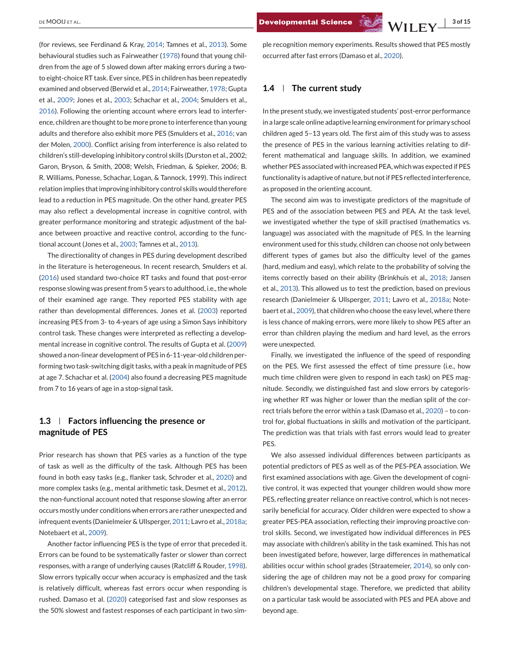(for reviews, see Ferdinand & Kray, [2014;](#page-10-0) Tamnes et al., [2013\)](#page-11-0). Some behavioural studies such as Fairweather [\(1978\)](#page-10-0) found that young children from the age of 5 slowed down after making errors during a twoto eight-choice RT task. Ever since, PES in children has been repeatedly examined and observed (Berwid et al., [2014;](#page-10-0) Fairweather, [1978;](#page-10-0) Gupta et al., [2009;](#page-10-0) Jones et al., [2003;](#page-11-0) Schachar et al., [2004;](#page-11-0) Smulders et al., [2016\)](#page-11-0). Following the orienting account where errors lead to interference, children are thought to be more prone to interference than young adults and therefore also exhibit more PES (Smulders et al., [2016;](#page-11-0) van der Molen, [2000\)](#page-11-0). Conflict arising from interference is also related to children's still-developing inhibitory control skills (Durston et al., 2002; Garon, Bryson, & Smith, 2008; Welsh, Friedman, & Spieker, 2006; B. R. Williams, Ponesse, Schachar, Logan, & Tannock, 1999). This indirect relation implies that improving inhibitory control skills would therefore lead to a reduction in PES magnitude. On the other hand, greater PES may also reflect a developmental increase in cognitive control, with greater performance monitoring and strategic adjustment of the balance between proactive and reactive control, according to the functional account (Jones et al., [2003;](#page-11-0) Tamnes et al., [2013\)](#page-11-0).

The directionality of changes in PES during development described in the literature is heterogeneous. In recent research, Smulders et al. [\(2016\)](#page-11-0) used standard two-choice RT tasks and found that post-error response slowing was present from 5 years to adulthood, i.e., the whole of their examined age range. They reported PES stability with age rather than developmental differences. Jones et al. [\(2003\)](#page-11-0) reported increasing PES from 3- to 4-years of age using a Simon Says inhibitory control task. These changes were interpreted as reflecting a developmental increase in cognitive control. The results of Gupta et al. [\(2009\)](#page-10-0) showed a non-linear development of PES in 6-11-year-old children performing two task-switching digit tasks, with a peak in magnitude of PES at age 7. Schachar et al. [\(2004\)](#page-11-0) also found a decreasing PES magnitude from 7 to 16 years of age in a stop-signal task.

# **1.3 Factors influencing the presence or magnitude of PES**

Prior research has shown that PES varies as a function of the type of task as well as the difficulty of the task. Although PES has been found in both easy tasks (e.g., flanker task, Schroder et al., [2020\)](#page-11-0) and more complex tasks (e.g., mental arithmetic task, Desmet et al., [2012\)](#page-10-0), the non-functional account noted that response slowing after an error occurs mostly under conditions when errors are rather unexpected and infrequent events (Danielmeier & Ullsperger, [2011;](#page-10-0) Lavro et al., [2018a;](#page-11-0) Notebaert et al., [2009\)](#page-11-0).

Another factor influencing PES is the type of error that preceded it. Errors can be found to be systematically faster or slower than correct responses, with a range of underlying causes (Ratcliff & Rouder, [1998\)](#page-11-0). Slow errors typically occur when accuracy is emphasized and the task is relatively difficult, whereas fast errors occur when responding is rushed. Damaso et al. [\(2020\)](#page-10-0) categorised fast and slow responses as the 50% slowest and fastest responses of each participant in two simple recognition memory experiments. Results showed that PES mostly occurred after fast errors (Damaso et al., [2020\)](#page-10-0).

#### **1.4 The current study**

In the present study, we investigated students' post-error performance in a large scale online adaptive learning environment for primary school children aged 5–13 years old. The first aim of this study was to assess the presence of PES in the various learning activities relating to different mathematical and language skills. In addition, we examined whether PES associated with increased PEA, which was expected if PES functionality is adaptive of nature, but not if PES reflected interference, as proposed in the orienting account.

The second aim was to investigate predictors of the magnitude of PES and of the association between PES and PEA. At the task level, we investigated whether the type of skill practised (mathematics vs. language) was associated with the magnitude of PES. In the learning environment used for this study, children can choose not only between different types of games but also the difficulty level of the games (hard, medium and easy), which relate to the probability of solving the items correctly based on their ability (Brinkhuis et al., [2018;](#page-10-0) Jansen et al., [2013\)](#page-10-0). This allowed us to test the prediction, based on previous research (Danielmeier & Ullsperger, [2011;](#page-10-0) Lavro et al., [2018a;](#page-11-0) Notebaert et al., [2009\)](#page-11-0), that children who choose the easy level, where there is less chance of making errors, were more likely to show PES after an error than children playing the medium and hard level, as the errors were unexpected.

Finally, we investigated the influence of the speed of responding on the PES. We first assessed the effect of time pressure (i.e., how much time children were given to respond in each task) on PES magnitude. Secondly, we distinguished fast and slow errors by categorising whether RT was higher or lower than the median split of the correct trials before the error within a task (Damaso et al., [2020\)](#page-10-0) – to control for, global fluctuations in skills and motivation of the participant. The prediction was that trials with fast errors would lead to greater PES.

We also assessed individual differences between participants as potential predictors of PES as well as of the PES-PEA association. We first examined associations with age. Given the development of cognitive control, it was expected that younger children would show more PES, reflecting greater reliance on reactive control, which is not necessarily beneficial for accuracy. Older children were expected to show a greater PES-PEA association, reflecting their improving proactive control skills. Second, we investigated how individual differences in PES may associate with children's ability in the task examined. This has not been investigated before, however, large differences in mathematical abilities occur within school grades (Straatemeier, [2014\)](#page-11-0), so only considering the age of children may not be a good proxy for comparing children's developmental stage. Therefore, we predicted that ability on a particular task would be associated with PES and PEA above and beyond age.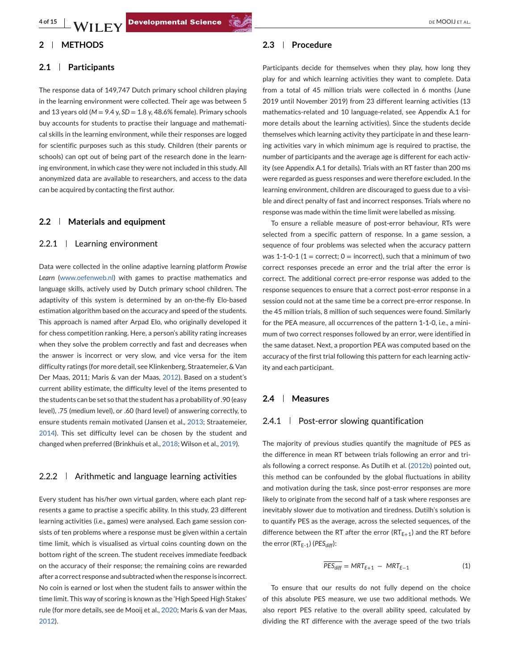# **2 METHODS**

#### **2.1 Participants**

The response data of 149,747 Dutch primary school children playing in the learning environment were collected. Their age was between 5 and 13 years old (*M* = 9.4 y, *SD* = 1.8 y, 48.6% female). Primary schools buy accounts for students to practise their language and mathematical skills in the learning environment, while their responses are logged for scientific purposes such as this study. Children (their parents or schools) can opt out of being part of the research done in the learning environment, in which case they were not included in this study. All anonymized data are available to researchers, and access to the data can be acquired by contacting the first author.

#### **2.2 Materials and equipment**

#### 2.2.1 Learning environment

Data were collected in the online adaptive learning platform *Prowise Learn* [\(www.oefenweb.nl\)](http://www.oefenweb.nl) with games to practise mathematics and language skills, actively used by Dutch primary school children. The adaptivity of this system is determined by an on-the-fly Elo-based estimation algorithm based on the accuracy and speed of the students. This approach is named after Arpad Elo, who originally developed it for chess competition ranking. Here, a person's ability rating increases when they solve the problem correctly and fast and decreases when the answer is incorrect or very slow, and vice versa for the item difficulty ratings (for more detail, see Klinkenberg, Straatemeier, & Van Der Maas, 2011; Maris & van der Maas, [2012\)](#page-11-0). Based on a student's current ability estimate, the difficulty level of the items presented to the students can be set so that the student has a probability of .90 (easy level), .75 (medium level), or .60 (hard level) of answering correctly, to ensure students remain motivated (Jansen et al., [2013;](#page-10-0) Straatemeier, [2014\)](#page-11-0). This set difficulty level can be chosen by the student and changed when preferred (Brinkhuis et al., [2018;](#page-10-0) Wilson et al., [2019\)](#page-11-0).

## $2.2.2$  | Arithmetic and language learning activities

Every student has his/her own virtual garden, where each plant represents a game to practise a specific ability. In this study, 23 different learning activities (i.e., games) were analysed. Each game session consists of ten problems where a response must be given within a certain time limit, which is visualised as virtual coins counting down on the bottom right of the screen. The student receives immediate feedback on the accuracy of their response; the remaining coins are rewarded after a correct response and subtracted when the response is incorrect. No coin is earned or lost when the student fails to answer within the time limit. This way of scoring is known as the 'High Speed High Stakes' rule (for more details, see de Mooij et al., [2020;](#page-10-0) Maris & van der Maas, [2012\)](#page-11-0).

#### **2.3 Procedure**

Participants decide for themselves when they play, how long they play for and which learning activities they want to complete. Data from a total of 45 million trials were collected in 6 months (June 2019 until November 2019) from 23 different learning activities (13 mathematics-related and 10 language-related, see Appendix A.1 for more details about the learning activities). Since the students decide themselves which learning activity they participate in and these learning activities vary in which minimum age is required to practise, the number of participants and the average age is different for each activity (see Appendix A.1 for details). Trials with an RT faster than 200 ms were regarded as guess responses and were therefore excluded. In the learning environment, children are discouraged to guess due to a visible and direct penalty of fast and incorrect responses. Trials where no response was made within the time limit were labelled as missing.

To ensure a reliable measure of post-error behaviour, RTs were selected from a specific pattern of response. In a game session, a sequence of four problems was selected when the accuracy pattern was 1-1-0-1 (1 = correct;  $0 =$  incorrect), such that a minimum of two correct responses precede an error and the trial after the error is correct. The additional correct pre-error response was added to the response sequences to ensure that a correct post-error response in a session could not at the same time be a correct pre-error response. In the 45 million trials, 8 million of such sequences were found. Similarly for the PEA measure, all occurrences of the pattern 1-1-0, i.e., a minimum of two correct responses followed by an error, were identified in the same dataset. Next, a proportion PEA was computed based on the accuracy of the first trial following this pattern for each learning activity and each participant.

# **2.4 Measures**

#### 2.4.1 Post-error slowing quantification

The majority of previous studies quantify the magnitude of PES as the difference in mean RT between trials following an error and trials following a correct response. As Dutilh et al. [\(2012b\)](#page-10-0) pointed out, this method can be confounded by the global fluctuations in ability and motivation during the task, since post-error responses are more likely to originate from the second half of a task where responses are inevitably slower due to motivation and tiredness. Dutilh's solution is to quantify PES as the average, across the selected sequences, of the difference between the RT after the error  $(RT_{E+1})$  and the RT before the error  $(RT_{E-1})$  (*PES<sub>diff</sub>*):

$$
\overline{PES_{diff}} = MRT_{E+1} - MRT_{E-1}
$$
 (1)

To ensure that our results do not fully depend on the choice of this absolute PES measure, we use two additional methods. We also report PES relative to the overall ability speed, calculated by dividing the RT difference with the average speed of the two trials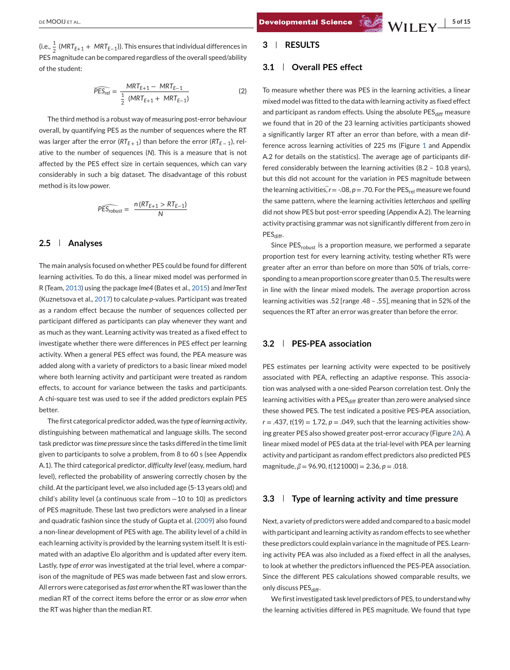$$
\widehat{PES_{rel}} = \frac{MRT_{E+1} - MRT_{E-1}}{\frac{1}{2} (MRT_{E+1} + MRT_{E-1})}
$$
(2)

The third method is a robust way of measuring post-error behaviour overall, by quantifying PES as the number of sequences where the RT was larger after the error ( $RT_{E+1}$ ) than before the error ( $RT_{E-1}$ ), relative to the number of sequences (*N*). This is a measure that is not affected by the PES effect size in certain sequences, which can vary considerably in such a big dataset. The disadvantage of this robust method is its low power.

$$
\widehat{PES_{robust}} = \frac{n(RT_{E+1} > RT_{E-1})}{N}
$$

#### **2.5 Analyses**

The main analysis focused on whether PES could be found for different learning activities. To do this, a linear mixed model was performed in R (Team, [2013\)](#page-11-0) using the package *lme4* (Bates et al., [2015\)](#page-10-0) and *lmerTest* (Kuznetsova et al., [2017\)](#page-11-0) to calculate *p*-values. Participant was treated as a random effect because the number of sequences collected per participant differed as participants can play whenever they want and as much as they want. Learning activity was treated as a fixed effect to investigate whether there were differences in PES effect per learning activity. When a general PES effect was found, the PEA measure was added along with a variety of predictors to a basic linear mixed model where both learning activity and participant were treated as random effects, to account for variance between the tasks and participants. A chi-square test was used to see if the added predictors explain PES better.

The first categorical predictor added, was the *type of learning activity*, distinguishing between mathematical and language skills. The second task predictor was *time pressure* since the tasks differed in the time limit given to participants to solve a problem, from 8 to 60 s (see Appendix A.1). The third categorical predictor, *difficulty level* (easy, medium, hard level), reflected the probability of answering correctly chosen by the child. At the participant level, we also included age (5-13 years old) and child's ability level (a continuous scale from −10 to 10) as predictors of PES magnitude. These last two predictors were analysed in a linear and quadratic fashion since the study of Gupta et al. [\(2009\)](#page-10-0) also found a non-linear development of PES with age. The ability level of a child in each learning activity is provided by the learning system itself. It is estimated with an adaptive Elo algorithm and is updated after every item. Lastly, *type of error* was investigated at the trial level, where a comparison of the magnitude of PES was made between fast and slow errors. All errors were categorised as *fast error* when the RT was lower than the median RT of the correct items before the error or as *slow error* when the RT was higher than the median RT.

#### **3 RESULTS**

## **3.1 Overall PES effect**

To measure whether there was PES in the learning activities, a linear mixed model was fitted to the data with learning activity as fixed effect and participant as random effects. Using the absolute  $\text{PES}_{\text{diff}}$  measure we found that in 20 of the 23 learning activities participants showed a significantly larger RT after an error than before, with a mean difference across learning activities of 225 ms (Figure [1](#page-6-0) and Appendix A.2 for details on the statistics). The average age of participants differed considerably between the learning activities (8.2 – 10.8 years), but this did not account for the variation in PES magnitude between To measure whether there was PES in the learning activities, a linear<br>mixed model was fitted to the data with learning activity as fixed effect<br>and participant as random effects. Using the absolute PES<sub>diff</sub> measure<br>we fou the same pattern, where the learning activities *letterchaos* and *spelling* did not show PES but post-error speeding (Appendix A.2). The learning activity practising grammar was not significantly different from zero in PES<sub>diff</sub>.

Since PES<sub>robust</sub> is a proportion measure, we performed a separate proportion test for every learning activity, testing whether RTs were greater after an error than before on more than 50% of trials, corresponding to a mean proportion score greater than 0.5. The results were in line with the linear mixed models. The average proportion across learning activities was .52 [range .48 – .55], meaning that in 52% of the sequences the RT after an error was greater than before the error.

# **3.2 PES-PEA association**

PES estimates per learning activity were expected to be positively associated with PEA, reflecting an adaptive response. This association was analysed with a one-sided Pearson correlation test. Only the learning activities with a PES<sub>diff</sub> greater than zero were analysed since these showed PES. The test indicated a positive PES-PEA association,  $r = .437$ ,  $t(19) = 1.72$ ,  $p = .049$ , such that the learning activities showing greater PES also showed greater post-error accuracy (Figure [2A\)](#page-7-0). A linear mixed model of PES data at the trial-level with PEA per learning activity and participant as random effect predictors also predicted PES magnitude, *β* = 96.90, *t*(121000) = 2.36, *p* = .018.

#### **3.3 Type of learning activity and time pressure**

Next, a variety of predictors were added and compared to a basic model with participant and learning activity as random effects to see whether these predictors could explain variance in the magnitude of PES. Learning activity PEA was also included as a fixed effect in all the analyses, to look at whether the predictors influenced the PES-PEA association. Since the different PES calculations showed comparable results, we only discuss PES<sub>diff</sub>.

We first investigated task level predictors of PES, to understand why the learning activities differed in PES magnitude. We found that type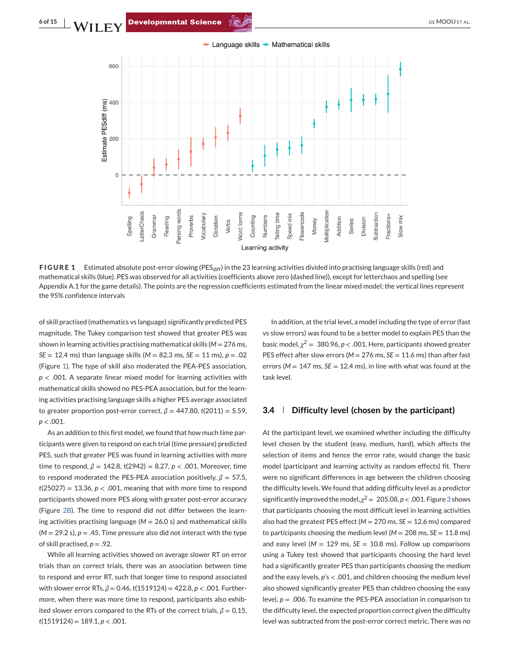<span id="page-6-0"></span>**6 of 15 NA / F R A / F R A / F R A / F R A / F R A / P R A / P R OF MOOIJ ET AL.** 



**FIGURE 1** Estimated absolute post-error slowing (PES<sub>diff</sub>) in the 23 learning activities divided into practising language skills (red) and mathematical skills (blue). PES was observed for all activities (coefficients above zero (dashed line)), except for letterchaos and spelling (see Appendix A.1 for the game details). The points are the regression coefficients estimated from the linear mixed model; the vertical lines represent the 95% confidence intervals

of skill practised (mathematics vs language) significantly predicted PES magnitude. The Tukey comparison test showed that greater PES was shown in learning activities practising mathematical skills  $(M = 276 \text{ ms})$ , *SE* = 12.4 ms) than language skills  $(M = 82.3 \text{ ms}, SE = 11 \text{ ms}), p = .02$ (Figure 1). The type of skill also moderated the PEA-PES association, *p* < .001. A separate linear mixed model for learning activities with mathematical skills showed no PES-PEA association, but for the learning activities practising language skills a higher PES average associated to greater proportion post-error correct,  $\beta = 447.80$ ,  $t(2011) = 5.59$ , *p* < .001.

As an addition to this first model, we found that how much time participants were given to respond on each trial (time pressure) predicted PES, such that greater PES was found in learning activities with more time to respond, *β* = 142.8, *t*(2942) = 8.27, *p* < .001. Moreover, time to respond moderated the PES-PEA association positively,  $β = 57.5$ ,  $t(25027) = 13.36$ ,  $p < .001$ , meaning that with more time to respond participants showed more PES along with greater post-error accuracy (Figure [2B\)](#page-7-0). The time to respond did not differ between the learning activities practising language  $(M = 26.0 s)$  and mathematical skills  $(M = 29.2 s)$ ,  $p = .45$ . Time pressure also did not interact with the type of skill practised,  $p = .92$ .

While all learning activities showed on average slower RT on error trials than on correct trials, there was an association between time to respond and error RT, such that longer time to respond associated with slower error RTs,  $β = 0.46$ ,  $t(1519124) = 422.8$ ,  $p < .001$ . Furthermore, when there was more time to respond, participants also exhibited slower errors compared to the RTs of the correct trials,  $\beta = 0.15$ , *t*(1519124) = 189.1, *p* < .001.

In addition, at the trial level, a model including the type of error (fast vs slow errors) was found to be a better model to explain PES than the basic model,  $\chi^2 = 380.96$ ,  $p < .001$ . Here, participants showed greater PES effect after slow errors ( $M = 276$  ms,  $SE = 11.6$  ms) than after fast errors ( $M = 147$  ms,  $SE = 12.4$  ms), in line with what was found at the task level.

## **3.4 Difficulty level (chosen by the participant)**

At the participant level, we examined whether including the difficulty level chosen by the student (easy, medium, hard), which affects the selection of items and hence the error rate, would change the basic model (participant and learning activity as random effects) fit. There were no significant differences in age between the children choosing the difficulty levels. We found that adding difficulty level as a predictor significantly improved the model,  $\chi^2 = 205.08$ ,  $p < .001$ . Figure [3](#page-8-0) shows that participants choosing the most difficult level in learning activities also had the greatest PES effect (*M* = 270 ms, *SE* = 12.6 ms) compared to participants choosing the medium level ( $M = 208$  ms,  $SE = 11.8$  ms) and easy level (*M* = 129 ms, *SE* = 10.8 ms). Follow up comparisons using a Tukey test showed that participants choosing the hard level had a significantly greater PES than participants choosing the medium and the easy levels, *p*'s < .001, and children choosing the medium level also showed significantly greater PES than children choosing the easy level,  $p = 0.006$ . To examine the PES-PEA association in comparison to the difficulty level, the expected proportion correct given the difficulty level was subtracted from the post-error correct metric. There was no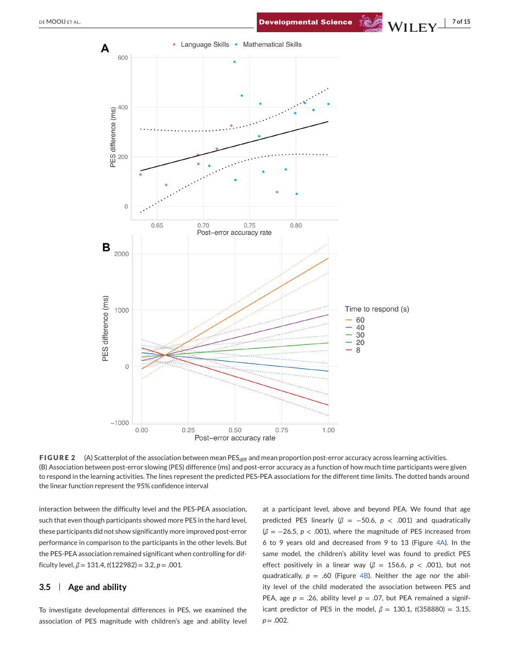<span id="page-7-0"></span>



**FIGURE 2** (A) Scatterplot of the association between mean PES<sub>diff</sub> and mean proportion post-error accuracy across learning activities. (B) Association between post-error slowing (PES) difference (ms) and post-error accuracy as a function of how much time participants were given to respond in the learning activities. The lines represent the predicted PES-PEA associations for the different time limits. The dotted bands around the linear function represent the 95% confidence interval

interaction between the difficulty level and the PES-PEA association, such that even though participants showed more PES in the hard level, these participants did not show significantly more improved post-error performance in comparison to the participants in the other levels. But the PES-PEA association remained significant when controlling for difficulty level,  $\beta = 131.4$ ,  $t(122982) = 3.2$ ,  $p = .001$ .

## **3.5 Age and ability**

To investigate developmental differences in PES, we examined the association of PES magnitude with children's age and ability level

at a participant level, above and beyond PEA. We found that age predicted PES linearly ( $\beta$  = -50.6,  $p$  < .001) and quadratically (*β* = −26.5, *p* < .001), where the magnitude of PES increased from 6 to 9 years old and decreased from 9 to 13 (Figure [4A\)](#page-9-0). In the same model, the children's ability level was found to predict PES effect positively in a linear way (*β* = 156.6, *p* < .001), but not quadratically,  $p = .60$  (Figure [4B\)](#page-9-0). Neither the age nor the ability level of the child moderated the association between PES and PEA, age  $p = .26$ , ability level  $p = .07$ , but PEA remained a significant predictor of PES in the model,  $β = 130.1$ ,  $t(358880) = 3.15$ ,  $p = .002$ .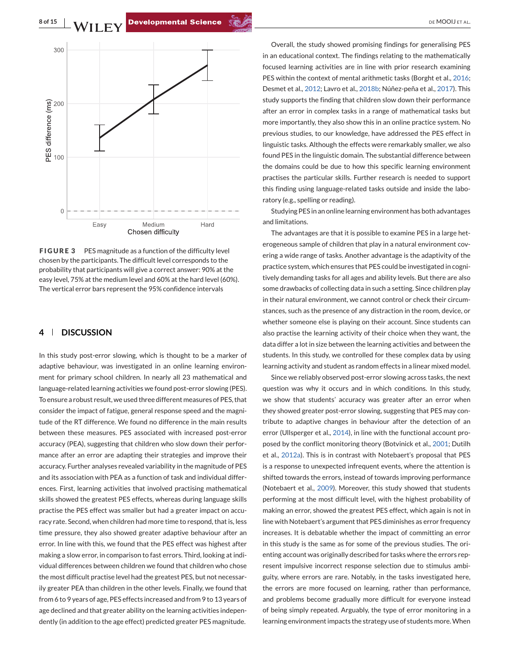<span id="page-8-0"></span>**8 of 15** MILEY Developmental Science **Service Construct Construct Construct** DEMOOIJ ET AL.



**FIGURE 3** PES magnitude as a function of the difficulty level chosen by the participants. The difficult level corresponds to the probability that participants will give a correct answer: 90% at the easy level, 75% at the medium level and 60% at the hard level (60%). The vertical error bars represent the 95% confidence intervals

#### **4 DISCUSSION**

In this study post-error slowing, which is thought to be a marker of adaptive behaviour, was investigated in an online learning environment for primary school children. In nearly all 23 mathematical and language-related learning activities we found post-error slowing (PES). To ensure a robust result, we used three different measures of PES, that consider the impact of fatigue, general response speed and the magnitude of the RT difference. We found no difference in the main results between these measures. PES associated with increased post-error accuracy (PEA), suggesting that children who slow down their performance after an error are adapting their strategies and improve their accuracy. Further analyses revealed variability in the magnitude of PES and its association with PEA as a function of task and individual differences. First, learning activities that involved practising mathematical skills showed the greatest PES effects, whereas during language skills practise the PES effect was smaller but had a greater impact on accuracy rate. Second, when children had more time to respond, that is, less time pressure, they also showed greater adaptive behaviour after an error. In line with this, we found that the PES effect was highest after making a slow error, in comparison to fast errors. Third, looking at individual differences between children we found that children who chose the most difficult practise level had the greatest PES, but not necessarily greater PEA than children in the other levels. Finally, we found that from 6 to 9 years of age, PES effects increased and from 9 to 13 years of age declined and that greater ability on the learning activities independently (in addition to the age effect) predicted greater PES magnitude.

Overall, the study showed promising findings for generalising PES in an educational context. The findings relating to the mathematically focused learning activities are in line with prior research examining PES within the context of mental arithmetic tasks (Borght et al., [2016;](#page-10-0) Desmet et al., [2012;](#page-10-0) Lavro et al., [2018b;](#page-11-0) Núñez-peña et al., [2017\)](#page-11-0). This study supports the finding that children slow down their performance after an error in complex tasks in a range of mathematical tasks but more importantly, they also show this in an online practice system. No previous studies, to our knowledge, have addressed the PES effect in linguistic tasks. Although the effects were remarkably smaller, we also found PES in the linguistic domain. The substantial difference between the domains could be due to how this specific learning environment practises the particular skills. Further research is needed to support this finding using language-related tasks outside and inside the laboratory (e.g., spelling or reading).

Studying PES in an online learning environment has both advantages and limitations.

The advantages are that it is possible to examine PES in a large heterogeneous sample of children that play in a natural environment covering a wide range of tasks. Another advantage is the adaptivity of the practice system, which ensures that PES could be investigated in cognitively demanding tasks for all ages and ability levels. But there are also some drawbacks of collecting data in such a setting. Since children play in their natural environment, we cannot control or check their circumstances, such as the presence of any distraction in the room, device, or whether someone else is playing on their account. Since students can also practise the learning activity of their choice when they want, the data differ a lot in size between the learning activities and between the students. In this study, we controlled for these complex data by using learning activity and student as random effects in a linear mixed model.

Since we reliably observed post-error slowing across tasks, the next question was why it occurs and in which conditions. In this study, we show that students' accuracy was greater after an error when they showed greater post-error slowing, suggesting that PES may contribute to adaptive changes in behaviour after the detection of an error (Ullsperger et al., [2014\)](#page-11-0), in line with the functional account proposed by the conflict monitoring theory (Botvinick et al., [2001;](#page-10-0) Dutilh et al., [2012a\)](#page-10-0). This is in contrast with Notebaert's proposal that PES is a response to unexpected infrequent events, where the attention is shifted towards the errors, instead of towards improving performance (Notebaert et al., [2009\)](#page-11-0). Moreover, this study showed that students performing at the most difficult level, with the highest probability of making an error, showed the greatest PES effect, which again is not in line with Notebaert's argument that PES diminishes as error frequency increases. It is debatable whether the impact of committing an error in this study is the same as for some of the previous studies. The orienting account was originally described for tasks where the errors represent impulsive incorrect response selection due to stimulus ambiguity, where errors are rare. Notably, in the tasks investigated here, the errors are more focused on learning, rather than performance, and problems become gradually more difficult for everyone instead of being simply repeated. Arguably, the type of error monitoring in a learning environment impacts the strategy use of students more.When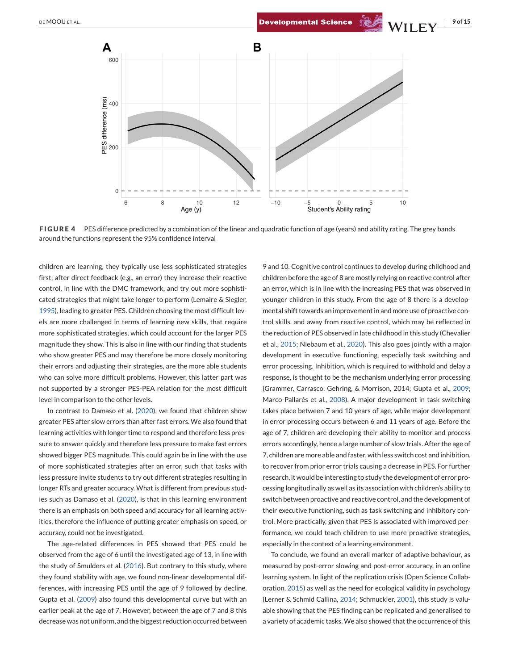<span id="page-9-0"></span>

**FIGURE 4** PES difference predicted by a combination of the linear and quadratic function of age (years) and ability rating. The grey bands around the functions represent the 95% confidence interval

children are learning, they typically use less sophisticated strategies first; after direct feedback (e.g., an error) they increase their reactive control, in line with the DMC framework, and try out more sophisticated strategies that might take longer to perform (Lemaire & Siegler, [1995\)](#page-11-0), leading to greater PES. Children choosing the most difficult levels are more challenged in terms of learning new skills, that require more sophisticated strategies, which could account for the larger PES magnitude they show. This is also in line with our finding that students who show greater PES and may therefore be more closely monitoring their errors and adjusting their strategies, are the more able students who can solve more difficult problems. However, this latter part was not supported by a stronger PES-PEA relation for the most difficult level in comparison to the other levels.

In contrast to Damaso et al. [\(2020\)](#page-10-0), we found that children show greater PES after slow errors than after fast errors. We also found that learning activities with longer time to respond and therefore less pressure to answer quickly and therefore less pressure to make fast errors showed bigger PES magnitude. This could again be in line with the use of more sophisticated strategies after an error, such that tasks with less pressure invite students to try out different strategies resulting in longer RTs and greater accuracy. What is different from previous studies such as Damaso et al. [\(2020\)](#page-10-0), is that in this learning environment there is an emphasis on both speed and accuracy for all learning activities, therefore the influence of putting greater emphasis on speed, or accuracy, could not be investigated.

The age-related differences in PES showed that PES could be observed from the age of 6 until the investigated age of 13, in line with the study of Smulders et al. [\(2016\)](#page-11-0). But contrary to this study, where they found stability with age, we found non-linear developmental differences, with increasing PES until the age of 9 followed by decline. Gupta et al. [\(2009\)](#page-10-0) also found this developmental curve but with an earlier peak at the age of 7. However, between the age of 7 and 8 this decrease was not uniform, and the biggest reduction occurred between

9 and 10. Cognitive control continues to develop during childhood and children before the age of 8 are mostly relying on reactive control after an error, which is in line with the increasing PES that was observed in younger children in this study. From the age of 8 there is a developmental shift towards an improvement in and more use of proactive control skills, and away from reactive control, which may be reflected in the reduction of PES observed in late childhood in this study (Chevalier et al., [2015;](#page-10-0) Niebaum et al., [2020\)](#page-11-0). This also goes jointly with a major development in executive functioning, especially task switching and error processing. Inhibition, which is required to withhold and delay a response, is thought to be the mechanism underlying error processing (Grammer, Carrasco, Gehring, & Morrison, 2014; Gupta et al., [2009;](#page-10-0) Marco-Pallarés et al., [2008\)](#page-11-0). A major development in task switching takes place between 7 and 10 years of age, while major development in error processing occurs between 6 and 11 years of age. Before the age of 7, children are developing their ability to monitor and process errors accordingly, hence a large number of slow trials. After the age of 7, children are more able and faster, with less switch cost and inhibition, to recover from prior error trials causing a decrease in PES. For further research, it would be interesting to study the development of error processing longitudinally as well as its association with children's ability to switch between proactive and reactive control, and the development of their executive functioning, such as task switching and inhibitory control. More practically, given that PES is associated with improved performance, we could teach children to use more proactive strategies, especially in the context of a learning environment.

To conclude, we found an overall marker of adaptive behaviour, as measured by post-error slowing and post-error accuracy, in an online learning system. In light of the replication crisis (Open Science Collaboration, [2015\)](#page-11-0) as well as the need for ecological validity in psychology (Lerner & Schmid Callina, [2014;](#page-11-0) Schmuckler, [2001\)](#page-11-0), this study is valuable showing that the PES finding can be replicated and generalised to a variety of academic tasks.We also showed that the occurrence of this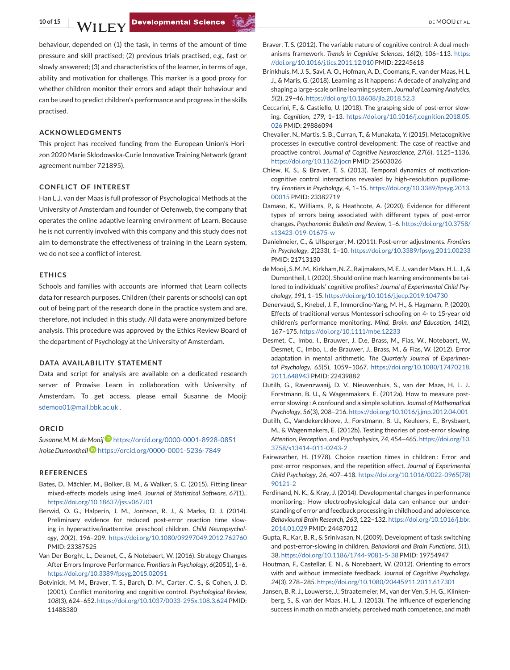<span id="page-10-0"></span>behaviour, depended on (1) the task, in terms of the amount of time pressure and skill practised; (2) previous trials practised, e.g., fast or slowly answered; (3) and characteristics of the learner, in terms of age, ability and motivation for challenge. This marker is a good proxy for whether children monitor their errors and adapt their behaviour and can be used to predict children's performance and progress in the skills practised.

#### **ACKNOWLEDGMENTS**

This project has received funding from the European Union's Horizon 2020 Marie Sklodowska-Curie Innovative Training Network (grant agreement number 721895).

#### **CONFLICT OF INTEREST**

Han L.J. van der Maas is full professor of Psychological Methods at the University of Amsterdam and founder of Oefenweb, the company that operates the online adaptive learning environment of Learn. Because he is not currently involved with this company and this study does not aim to demonstrate the effectiveness of training in the Learn system, we do not see a conflict of interest.

#### **ETHICS**

Schools and families with accounts are informed that Learn collects data for research purposes. Children (their parents or schools) can opt out of being part of the research done in the practice system and are, therefore, not included in this study. All data were anonymized before analysis. This procedure was approved by the Ethics Review Board of the department of Psychology at the University of Amsterdam.

#### **DATA AVAILABILITY STATEMENT**

Data and script for analysis are available on a dedicated research server of Prowise Learn in collaboration with University of Amsterdam. To get access, please email Susanne de Mooij: [sdemoo01@mail.bbk.ac.uk](mailto:sdemoo01@mail.bbk.ac.uk) .

#### **ORCID**

*Susanne M. M. de Mooij* <https://orcid.org/0000-0001-8928-0851> *Iroise Dumontheil* <https://orcid.org/0000-0001-5236-7849>

#### **REFERENCES**

- Bates, D., Mächler, M., Bolker, B. M., & Walker, S. C. (2015). Fitting linear mixed-effects models using lme4. *Journal of Statistical Software*, *67*(1),. <https://doi.org/10.18637/jss.v067.i01>
- Berwid, O. G., Halperin, J. M., Jonhson, R. J., & Marks, D. J. (2014). Preliminary evidence for reduced post-error reaction time slowing in hyperactive/inattentive preschool children. *Child Neuropsychology*, *20*(2), 196–209. <https://doi.org/10.1080/09297049.2012.762760> PMID: 23387525
- Van Der Borght, L., Desmet, C., & Notebaert, W. (2016). Strategy Changes After Errors Improve Performance. *Frontiers in Psychology*, *6*(2051), 1–6. <https://doi.org/10.3389/fpsyg.2015.02051>
- Botvinick, M. M., Braver, T. S., Barch, D. M., Carter, C. S., & Cohen, J. D. (2001). Conflict monitoring and cognitive control. *Psychological Review*, *108*(3), 624–652. <https://doi.org/10.1037/0033-295x.108.3.624> PMID: 11488380
- Braver, T. S. (2012). The variable nature of cognitive control: A dual mechanisms framework. *Trends in Cognitive Sciences*, *16*(2), 106–113. [https:](https://doi.org/10.1016/j.tics.2011.12.010) [//doi.org/10.1016/j.tics.2011.12.010](https://doi.org/10.1016/j.tics.2011.12.010) PMID: 22245618
- Brinkhuis, M. J. S., Savi, A. O., Hofman, A. D., Coomans, F., van der Maas, H. L. J., & Maris, G. (2018). Learning as it happens : A decade of analyzing and shaping a large-scale online learning system. *Journal of Learning Analytics*, *5*(2), 29–46. <https://doi.org/10.18608/jla.2018.52.3>
- Ceccarini, F., & Castiello, U. (2018). The grasping side of post-error slowing. *Cognition*, *179*, 1–13. [https://doi.org/10.1016/j.cognition.2018.05.](https://doi.org/10.1016/j.cognition.2018.05.026) [026](https://doi.org/10.1016/j.cognition.2018.05.026) PMID: 29886094
- Chevalier, N., Martis, S. B., Curran, T., & Munakata, Y. (2015). Metacognitive processes in executive control development: The case of reactive and proactive control. *Journal of Cognitive Neuroscience*, *27*(6), 1125–1136. <https://doi.org/10.1162/jocn> PMID: 25603026
- Chiew, K. S., & Braver, T. S. (2013). Temporal dynamics of motivationcognitive control interactions revealed by high-resolution pupillometry. *Frontiers in Psychology*, *4*, 1–15. [https://doi.org/10.3389/fpsyg.2013.](https://doi.org/10.3389/fpsyg.2013.00015) [00015](https://doi.org/10.3389/fpsyg.2013.00015) PMID: 23382719
- Damaso, K., Williams, P., & Heathcote, A. (2020). Evidence for different types of errors being associated with different types of post-error changes. *Psychonomic Bulletin and Review*, 1–6. [https://doi.org/10.3758/](https://doi.org/10.3758/s13423-019-01675-w) [s13423-019-01675-w](https://doi.org/10.3758/s13423-019-01675-w)
- Danielmeier, C., & Ullsperger, M. (2011). Post-error adjustments. *Frontiers in Psychology*, *2*(233), 1–10. <https://doi.org/10.3389/fpsyg.2011.00233> PMID: 21713130
- deMooij, S.M.M., Kirkham, N. Z., Raijmakers,M. E. J., van derMaas, H. L. J., & Dumontheil, I. (2020). Should online math learning environments be tailored to individuals' cognitive profiles? *Journal of Experimental Child Psychology*, *191*, 1–15. <https://doi.org/10.1016/j.jecp.2019.104730>
- Denervaud, S., Knebel, J. F., Immordino-Yang, M. H., & Hagmann, P. (2020). Effects of traditional versus Montessori schooling on 4- to 15-year old children's performance monitoring. *Mind, Brain, and Education*, *14*(2), 167–175. <https://doi.org/10.1111/mbe.12233>
- Desmet, C., Imbo, I., Brauwer, J. D.e, Brass, M., Fias, W., Notebaert, W., Desmet, C., Imbo, I., de Brauwer, J., Brass, M., & Fias, W. (2012). Error adaptation in mental arithmetic. *The Quarterly Journal of Experimental Psychology*, *65*(5), 1059–1067. [https://doi.org/10.1080/17470218.](https://doi.org/10.1080/17470218.2011.648943) [2011.648943](https://doi.org/10.1080/17470218.2011.648943) PMID: 22439882
- Dutilh, G., Ravenzwaaij, D. V., Nieuwenhuis, S., van der Maas, H. L. J., Forstmann, B. U., & Wagenmakers, E. (2012a). How to measure posterror slowing : A confound and a simple solution. *Journal of Mathematical Psychology*, *56*(3), 208–216. <https://doi.org/10.1016/j.jmp.2012.04.001>
- Dutilh, G., Vandekerckhove, J., Forstmann, B. U., Keuleers, E., Brysbaert, M., & Wagenmakers, E. (2012b). Testing theories of post-error slowing. *Attention, Perception, and Psychophysics*, *74*, 454–465. [https://doi.org/10.](https://doi.org/10.3758/s13414-011-0243-2) [3758/s13414-011-0243-2](https://doi.org/10.3758/s13414-011-0243-2)
- Fairweather, H. (1978). Choice reaction times in children: Error and post-error responses, and the repetition effect. *Journal of Experimental Child Psychology*, *26*, 407–418. [https://doi.org/10.1016/0022-0965\(78\)](https://doi.org/10.1016/0022-0965(78)90121-2) [90121-2](https://doi.org/10.1016/0022-0965(78)90121-2)
- Ferdinand, N. K., & Kray, J. (2014). Developmental changes in performance monitoring : How electrophysiological data can enhance our understanding of error and feedback processing in childhood and adolescence. *Behavioural Brain Research*, *263*, 122–132. [https://doi.org/10.1016/j.bbr.](https://doi.org/10.1016/j.bbr.2014.01.029) [2014.01.029](https://doi.org/10.1016/j.bbr.2014.01.029) PMID: 24487012
- Gupta, R., Kar, B. R., & Srinivasan, N. (2009). Development of task switching and post-error-slowing in children. *Behavioral and Brain Functions*, *5*(1), 38. <https://doi.org/10.1186/1744-9081-5-38> PMID: 19754947
- Houtman, F., Castellar, E. N., & Notebaert, W. (2012). Orienting to errors with and without immediate feedback. *Journal of Cognitive Psychology*, *24*(3), 278–285. <https://doi.org/10.1080/20445911.2011.617301>
- Jansen, B. R. J., Louwerse, J., Straatemeier, M., van der Ven, S. H. G., Klinkenberg, S., & van der Maas, H. L. J. (2013). The influence of experiencing success in math on math anxiety, perceived math competence, and math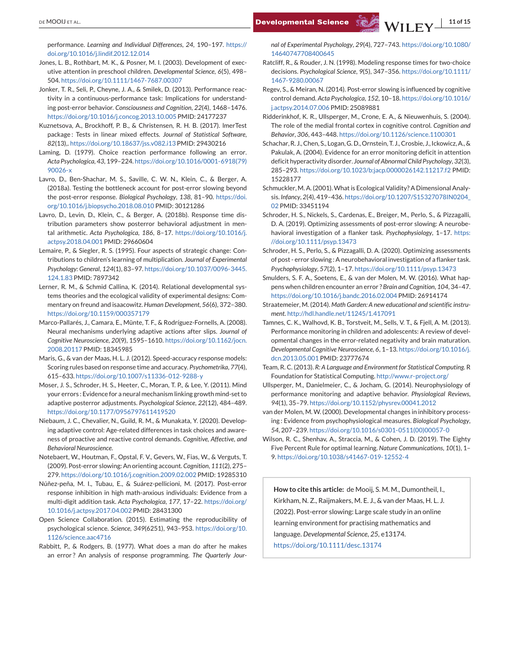<span id="page-11-0"></span>performance. *Learning and Individual Differences*, *24*, 190–197. [https://](https://doi.org/10.1016/j.lindif.2012.12.014) [doi.org/10.1016/j.lindif.2012.12.014](https://doi.org/10.1016/j.lindif.2012.12.014)

- Jones, L. B., Rothbart, M. K., & Posner, M. I. (2003). Development of executive attention in preschool children. *Developmental Science*, *6*(5), 498– 504. <https://doi.org/10.1111/1467-7687.00307>
- Jonker, T. R., Seli, P., Cheyne, J. A., & Smilek, D. (2013). Performance reactivity in a continuous-performance task: Implications for understanding post-error behavior. *Consciousness and Cognition*, *22*(4), 1468–1476. <https://doi.org/10.1016/j.concog.2013.10.005> PMID: 24177237
- Kuznetsova, A., Brockhoff, P. B., & Christensen, R. H. B. (2017). lmerTest package : Tests in linear mixed effects. *Journal of Statistical Software*, *82*(13),. <https://doi.org/10.18637/jss.v082.i13> PMID: 29430216
- Laming, D. (1979). Choice reaction performance following an error. *Acta Psychologica*, *43*, 199–224. [https://doi.org/10.1016/0001-6918\(79\)](https://doi.org/10.1016/0001-6918(79)90026-x) [90026-x](https://doi.org/10.1016/0001-6918(79)90026-x)
- Lavro, D., Ben-Shachar, M. S., Saville, C. W. N., Klein, C., & Berger, A. (2018a). Testing the bottleneck account for post-error slowing beyond the post-error response. *Biological Psychology*, *138*, 81–90. [https://doi.](https://doi.org/10.1016/j.biopsycho.2018.08.010) [org/10.1016/j.biopsycho.2018.08.010](https://doi.org/10.1016/j.biopsycho.2018.08.010) PMID: 30121286
- Lavro, D., Levin, D., Klein, C., & Berger, A. (2018b). Response time distribution parameters show posterror behavioral adjustment in mental arithmetic. *Acta Psychologica*, *186*, 8–17. [https://doi.org/10.1016/j.](https://doi.org/10.1016/j.actpsy.2018.04.001) [actpsy.2018.04.001](https://doi.org/10.1016/j.actpsy.2018.04.001) PMID: 29660604
- Lemaire, P., & Siegler, R. S. (1995). Four aspects of strategic change: Contributions to children's learning of multiplication. *Journal of Experimental Psychology: General*, *124*(1), 83–97. [https://doi.org/10.1037/0096-3445.](https://doi.org/10.1037/0096-3445.124.1.83) [124.1.83](https://doi.org/10.1037/0096-3445.124.1.83) PMID: 7897342
- Lerner, R. M., & Schmid Callina, K. (2014). Relational developmental systems theories and the ecological validity of experimental designs: Commentary on freund and isaacowitz. *Human Development*, *56*(6), 372–380. <https://doi.org/10.1159/000357179>
- Marco-Pallarés, J., Camara, E., Münte, T. F., & Rodríguez-Fornells, A. (2008). Neural mechanisms underlying adaptive actions after slips. *Journal of Cognitive Neuroscience*, *20*(9), 1595–1610. [https://doi.org/10.1162/jocn.](https://doi.org/10.1162/jocn.2008.20117) [2008.20117](https://doi.org/10.1162/jocn.2008.20117) PMID: 18345985
- Maris, G., & van der Maas, H. L. J. (2012). Speed-accuracy response models: Scoring rules based on response time and accuracy. *Psychometrika*, *77*(4), 615–633. <https://doi.org/10.1007/s11336-012-9288-y>
- Moser, J. S., Schroder, H. S., Heeter, C., Moran, T. P., & Lee, Y. (2011). Mind your errors : Evidence for a neural mechanism linking growth mind-set to adaptive posterror adjustments. *Psychological Science*, *22*(12), 484–489. <https://doi.org/10.1177/0956797611419520>
- Niebaum, J. C., Chevalier, N., Guild, R. M., & Munakata, Y. (2020). Developing adaptive control: Age-related differences in task choices and awareness of proactive and reactive control demands. *Cognitive, Affective, and Behavioral Neuroscience*.
- Notebaert, W., Houtman, F., Opstal, F. V., Gevers, W., Fias, W., & Verguts, T. (2009). Post-error slowing: An orienting account. *Cognition*, *111*(2), 275– 279. <https://doi.org/10.1016/j.cognition.2009.02.002> PMID: 19285310
- Núñez-peña, M. I., Tubau, E., & Suárez-pellicioni, M. (2017). Post-error response inhibition in high math-anxious individuals: Evidence from a multi-digit addition task. *Acta Psychologica*, *177*, 17–22. [https://doi.org/](https://doi.org/10.1016/j.actpsy.2017.04.002) [10.1016/j.actpsy.2017.04.002](https://doi.org/10.1016/j.actpsy.2017.04.002) PMID: 28431300
- Open Science Collaboration. (2015). Estimating the reproducibility of psychological science. *Science*, *349*(6251), 943–953. [https://doi.org/10.](https://doi.org/10.1126/science.aac4716) [1126/science.aac4716](https://doi.org/10.1126/science.aac4716)
- Rabbitt, P., & Rodgers, B. (1977). What does a man do after he makes an error ? An analysis of response programming. *The Quarterly Jour-*

*nal of Experimental Psychology*, *29*(4), 727–743. [https://doi.org/10.1080/](https://doi.org/10.1080/14640747708400645) [14640747708400645](https://doi.org/10.1080/14640747708400645)

- Ratcliff, R., & Rouder, J. N. (1998). Modeling response times for two-choice decisions. *Psychological Science*, *9*(5), 347–356. [https://doi.org/10.1111/](https://doi.org/10.1111/1467-9280.00067) [1467-9280.00067](https://doi.org/10.1111/1467-9280.00067)
- Regev, S., & Meiran, N. (2014). Post-error slowing is influenced by cognitive control demand. *Acta Psychologica*, *152*, 10–18. [https://doi.org/10.1016/](https://doi.org/10.1016/j.actpsy.2014.07.006) [j.actpsy.2014.07.006](https://doi.org/10.1016/j.actpsy.2014.07.006) PMID: 25089881
- Ridderinkhof, K. R., Ullsperger, M., Crone, E. A., & Nieuwenhuis, S. (2004). The role of the medial frontal cortex in cognitive control. *Cognition and Behavior*, *306*, 443–448. <https://doi.org/10.1126/science.1100301>
- Schachar, R. J., Chen, S., Logan, G. D., Ornstein, T. J., Crosbie, J., Ickowicz, A., & Pakulak, A. (2004). Evidence for an error monitoring deficit in attention deficit hyperactivity disorder. *Journal of Abnormal Child Psychology*, *32*(3), 285–293. <https://doi.org/10.1023/b:jacp.0000026142.11217.f2> PMID: 15228177
- Schmuckler, M. A. (2001).What is Ecological Validity? A Dimensional Analysis. *Infancy*, *2*(4), 419–436. [https://doi.org/10.1207/S15327078IN0204\\_](https://doi.org/10.1207/S15327078IN0204_02) [02](https://doi.org/10.1207/S15327078IN0204_02) PMID: 33451194
- Schroder, H. S., Nickels, S., Cardenas, E., Breiger, M., Perlo, S., & Pizzagalli, D. A. (2019). Optimizing assessments of post-error slowing: A neurobehavioral investigation of a flanker task. *Psychophysiology*, 1–17. [https:](https://doi.org/10.1111/psyp.13473) [//doi.org/10.1111/psyp.13473](https://doi.org/10.1111/psyp.13473)
- Schroder, H. S., Perlo, S., & Pizzagalli, D. A. (2020). Optimizing assessments of post - error slowing : A neurobehavioral investigation of a flanker task. *Psychophysiology*, *57*(2), 1–17. <https://doi.org/10.1111/psyp.13473>
- Smulders, S. F. A., Soetens, E., & van der Molen, M. W. (2016). What happens when children encounter an error ? *Brain and Cognition*, *104*, 34–47. <https://doi.org/10.1016/j.bandc.2016.02.004> PMID: 26914174
- Straatemeier, M. (2014). *Math Garden: A new educational and scientific instrument*. <http://hdl.handle.net/11245/1.417091>
- Tamnes, C. K., Walhovd, K. B., Torstveit, M., Sells, V. T., & Fjell, A. M. (2013). Performance monitoring in children and adolescents: A review of developmental changes in the error-related negativity and brain maturation. *Developmental Cognitive Neuroscience*, *6*, 1–13. [https://doi.org/10.1016/j.](https://doi.org/10.1016/j.dcn.2013.05.001) [dcn.2013.05.001](https://doi.org/10.1016/j.dcn.2013.05.001) PMID: 23777674
- Team, R. C. (2013). *R: A Language and Environment for Statistical Computing*. R Foundation for Statistical Computing. <http://www.r-project.org/>
- Ullsperger, M., Danielmeier, C., & Jocham, G. (2014). Neurophysiology of performance monitoring and adaptive behavior. *Physiological Reviews*, *94*(1), 35–79. <https://doi.org/10.1152/physrev.00041.2012>
- van der Molen, M. W. (2000). Developmental changes in inhibitory processing : Evidence from psychophysiological measures. *Biological Psychology*, *54*, 207–239. [https://doi.org/10.1016/s0301-0511\(00\)00057-0](https://doi.org/10.1016/s0301-0511(00)00057-0)
- Wilson, R. C., Shenhav, A., Straccia, M., & Cohen, J. D. (2019). The Eighty Five Percent Rule for optimal learning. *Nature Communications*, *10*(1), 1– 9. <https://doi.org/10.1038/s41467-019-12552-4>

**How to cite this article:** de Mooij, S. M. M., Dumontheil, I., Kirkham, N. Z., Raijmakers, M. E. J., & van der Maas, H. L. J. (2022). Post-error slowing: Large scale study in an online learning environment for practising mathematics and language. *Developmental Science*, *25,* e13174. <https://doi.org/10.1111/desc.13174>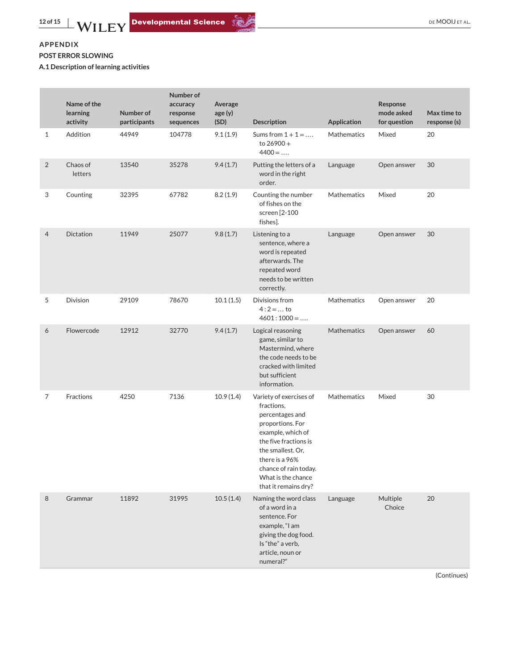# **APPENDIX POST ERROR SLOWING**

**A.1 Description of learning activities**

|                | Name of the<br>learning<br>activity | Number of<br>participants | Number of<br>accuracy<br>response<br>sequences | Average<br>age(y)<br>(SD) | <b>Description</b>                                                                                                                                                                                                                       | <b>Application</b> | Response<br>mode asked<br>for question | Max time to<br>response (s) |
|----------------|-------------------------------------|---------------------------|------------------------------------------------|---------------------------|------------------------------------------------------------------------------------------------------------------------------------------------------------------------------------------------------------------------------------------|--------------------|----------------------------------------|-----------------------------|
| $\mathbf{1}$   | Addition                            | 44949                     | 104778                                         | 9.1(1.9)                  | Sums from $1 + 1 = $<br>to $26900 +$<br>$4400 = $                                                                                                                                                                                        | <b>Mathematics</b> | Mixed                                  | 20                          |
| $\sqrt{2}$     | Chaos of<br>letters                 | 13540                     | 35278                                          | 9.4(1.7)                  | Putting the letters of a<br>Language<br>word in the right<br>order.                                                                                                                                                                      |                    | Open answer                            | 30                          |
| 3              | Counting                            | 32395                     | 67782                                          | 8.2(1.9)                  | Counting the number<br>of fishes on the<br>screen [2-100<br>fishes].                                                                                                                                                                     | <b>Mathematics</b> | Mixed                                  | 20                          |
| $\overline{4}$ | Dictation                           | 11949                     | 25077                                          | 9.8(1.7)                  | Listening to a<br>sentence, where a<br>word is repeated<br>afterwards. The<br>repeated word<br>needs to be written<br>correctly.                                                                                                         | Language           | Open answer                            | 30                          |
| 5              | Division                            | 29109                     | 78670                                          | 10.1(1.5)                 | Divisions from<br>$4:2=$ to<br>$4601:1000 = $                                                                                                                                                                                            | Mathematics        | Open answer                            | 20                          |
| 6              | Flowercode                          | 12912                     | 32770                                          | 9.4(1.7)                  | Logical reasoning<br>game, similar to<br>Mastermind, where<br>the code needs to be<br>cracked with limited<br>but sufficient<br>information.                                                                                             | <b>Mathematics</b> | Open answer                            | 60                          |
| 7              | Fractions                           | 4250                      | 7136                                           | 10.9(1.4)                 | Variety of exercises of<br>fractions,<br>percentages and<br>proportions. For<br>example, which of<br>the five fractions is<br>the smallest. Or,<br>there is a 96%<br>chance of rain today.<br>What is the chance<br>that it remains dry? | Mathematics        | Mixed                                  | 30                          |
| 8              | Grammar                             | 11892                     | 31995                                          | 10.5(1.4)                 | Naming the word class<br>of a word in a<br>sentence. For<br>example, "I am<br>giving the dog food.<br>Is "the" a verb,<br>article, noun or<br>numeral?"                                                                                  | Language           | Multiple<br>Choice                     | 20                          |

(Continues)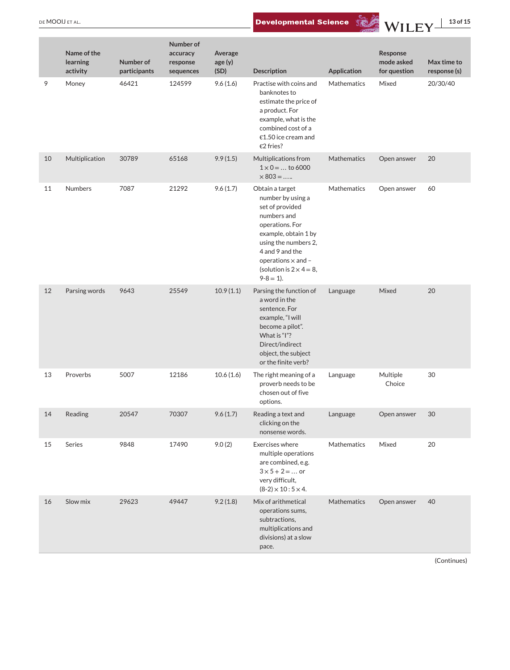DE MOOIJ ET AL. **13 of 15**<br>Developmental Science WILEY 13 of 15

|    | Name of the<br>learning<br>activity | Number of<br>participants | Number of<br>accuracy<br>response<br>sequences | Average<br>age(y)<br>(SD) | <b>Description</b>                                                                                                                                                                                                                         | Application        | Response<br>mode asked<br>for question | Max time to<br>response (s) |
|----|-------------------------------------|---------------------------|------------------------------------------------|---------------------------|--------------------------------------------------------------------------------------------------------------------------------------------------------------------------------------------------------------------------------------------|--------------------|----------------------------------------|-----------------------------|
| 9  | Money                               | 46421                     | 124599                                         | 9.6(1.6)                  | Practise with coins and<br>banknotes to<br>estimate the price of<br>a product. For<br>example, what is the<br>combined cost of a<br>€1.50 ice cream and<br>€2 fries?                                                                       | <b>Mathematics</b> | Mixed                                  | 20/30/40                    |
| 10 | Multiplication                      | 30789                     | 65168                                          | 9.9(1.5)                  | Multiplications from<br>$1 \times 0 = $ to 6000<br>$\times 803 = $                                                                                                                                                                         | Mathematics        | Open answer                            | 20                          |
| 11 | Numbers                             | 7087                      | 21292                                          | 9.6(1.7)                  | Obtain a target<br>number by using a<br>set of provided<br>numbers and<br>operations. For<br>example, obtain 1 by<br>using the numbers 2,<br>4 and 9 and the<br>operations $\times$ and -<br>(solution is $2 \times 4 = 8$ ,<br>$9-8=1$ ). | Mathematics        | Open answer                            | 60                          |
| 12 | Parsing words                       | 9643                      | 25549                                          | 10.9(1.1)                 | Parsing the function of<br>a word in the<br>sentence. For<br>example, "I will<br>become a pilot".<br>What is "I"?<br>Direct/indirect<br>object, the subject<br>or the finite verb?                                                         | Language           | Mixed                                  | 20                          |
| 13 | Proverbs                            | 5007                      | 12186                                          | 10.6(1.6)                 | The right meaning of a<br>proverb needs to be<br>chosen out of five<br>options.                                                                                                                                                            | Language           | Multiple<br>Choice                     | 30                          |
| 14 | Reading                             | 20547                     | 70307                                          | 9.6(1.7)                  | Reading a text and<br>clicking on the<br>nonsense words.                                                                                                                                                                                   | Language           | Open answer                            | 30                          |
| 15 | Series                              | 9848                      | 17490                                          | 9.0(2)                    | Exercises where<br>multiple operations<br>are combined, e.g.<br>$3 \times 5 + 2 = $ or<br>very difficult,<br>$(8-2) \times 10:5 \times 4.$                                                                                                 | Mathematics        | Mixed                                  | 20                          |
| 16 | Slow mix                            | 29623                     | 49447                                          | 9.2(1.8)                  | Mix of arithmetical<br>operations sums,<br>subtractions,<br>multiplications and<br>divisions) at a slow<br>pace.                                                                                                                           | Mathematics        | Open answer                            | 40                          |

(Continues)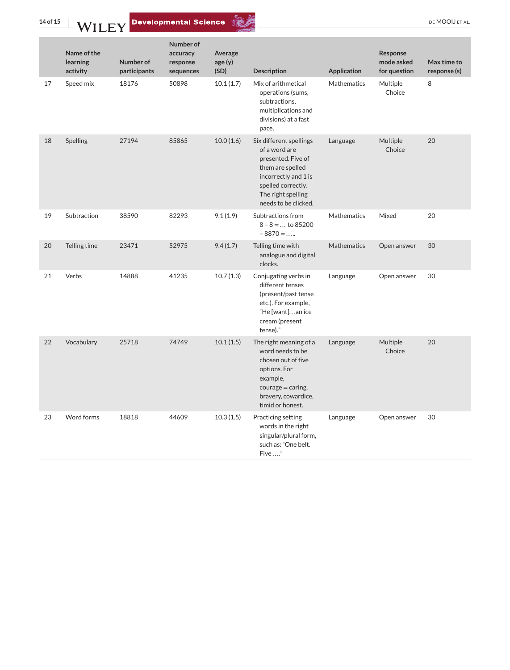**14 of 15 WILEY** Developmental Science **Commental Science DEMOOILETAL.** 



|    | Name of the<br>learning<br>activity | Number of<br>participants | Number of<br>accuracy<br>response<br>sequences | Average<br>age(y)<br>(SD) | <b>Description</b>                                                                                                                                                             | <b>Application</b> | Response<br>mode asked<br>for question | Max time to<br>response (s) |
|----|-------------------------------------|---------------------------|------------------------------------------------|---------------------------|--------------------------------------------------------------------------------------------------------------------------------------------------------------------------------|--------------------|----------------------------------------|-----------------------------|
| 17 | Speed mix                           | 18176                     | 50898                                          | 10.1(1.7)                 | Mix of arithmetical<br>operations (sums,<br>subtractions,<br>multiplications and<br>divisions) at a fast<br>pace.                                                              | Mathematics        | Multiple<br>Choice                     | 8                           |
| 18 | Spelling                            | 27194                     | 85865                                          | 10.0(1.6)                 | Six different spellings<br>of a word are<br>presented. Five of<br>them are spelled<br>incorrectly and 1 is<br>spelled correctly.<br>The right spelling<br>needs to be clicked. | Language           | Multiple<br>Choice                     | 20                          |
| 19 | Subtraction                         | 38590                     | 82293                                          | 9.1(1.9)                  | Subtractions from<br>$8 - 8 = \dots$ to 85200<br>$-8870 = $                                                                                                                    | <b>Mathematics</b> | Mixed                                  | 20                          |
| 20 | Telling time                        | 23471                     | 52975                                          | 9.4(1.7)                  | Telling time with<br>analogue and digital<br>clocks.                                                                                                                           | <b>Mathematics</b> | Open answer                            | 30                          |
| 21 | Verbs                               | 14888                     | 41235                                          | 10.7(1.3)                 | Conjugating verbs in<br>different tenses<br>(present/past tense<br>etc.). For example,<br>"He [want]an ice<br>cream (present<br>tense)."                                       | Language           | Open answer                            | 30                          |
| 22 | Vocabulary                          | 25718                     | 74749                                          | 10.1(1.5)                 | The right meaning of a<br>word needs to be<br>chosen out of five<br>options. For<br>example,<br>$course = caring$<br>bravery, cowardice,<br>timid or honest.                   | Language           | Multiple<br>Choice                     | 20                          |
| 23 | Word forms                          | 18818                     | 44609                                          | 10.3(1.5)                 | Practicing setting<br>words in the right<br>singular/plural form,<br>such as: "One belt.<br>Five "                                                                             | Language           | Open answer                            | 30                          |